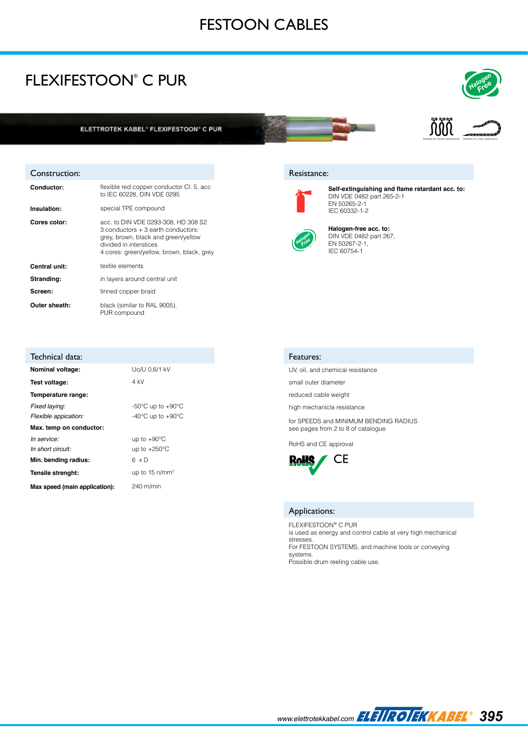# FESTOON CABLES

### FLEXIFESTOON® C PUR





Suitable for festoon application Suitable for chain application

້ກີ້ທີ່ກີ້

### Resistance:



**Self-extinguishing and flame retardant acc. to:**  DIN VDE 0482 part 265-2-1 EN 50265-2-1 IEC 60332-1-2



**Halogen-free acc. to:**  DIN VDE 0482 part 267, EN 50267-2-1, IEC 60754-1

#### Features:

UV, oil, and chemical resistance

small outer diameter

reduced cable weight

high mechanicla resistance

for SPEEDS and MINIMUM BENDING RADIUS see pages from 2 to 8 of catalogue

RoHS and CE approval



#### Applications:

FLEXIFESTOON® C PUR is used as energy and control cable at very high mechanical stresses. For FESTOON SYSTEMS, and machine tools or conveying systems. Possible drum reeling cable use.

Construction:

| <b>Conductor:</b> | flexible red copper conductor CI. 5, acc.<br>to IEC 60228. DIN VDE 0295                                                                                                                 |  |  |  |
|-------------------|-----------------------------------------------------------------------------------------------------------------------------------------------------------------------------------------|--|--|--|
| Insulation:       | special TPE compound                                                                                                                                                                    |  |  |  |
| Cores color:      | acc. to DIN VDE 0293-308, HD 308 S2<br>3 conductors + 3 earth conductors:<br>grey, brown, black and green/yellow<br>divided in interstices<br>4 cores: green/yellow, brown, black, grey |  |  |  |
| Central unit:     | textile elements                                                                                                                                                                        |  |  |  |
| Stranding:        | in layers around central unit                                                                                                                                                           |  |  |  |
| Screen:           | tinned copper braid                                                                                                                                                                     |  |  |  |
| Outer sheath:     | black (similar to RAL 9005).<br>PUR compound                                                                                                                                            |  |  |  |

| Technical data:               |                                         |  |  |
|-------------------------------|-----------------------------------------|--|--|
| Nominal voltage:              | Uo/U 0.6/1 kV                           |  |  |
| Test voltage:                 | 4 kV                                    |  |  |
| Temperature range:            |                                         |  |  |
| Fixed laying:                 | -50 $\degree$ C up to +90 $\degree$ C   |  |  |
| Flexible appication:          | -40 $^{\circ}$ C up to +90 $^{\circ}$ C |  |  |
| Max. temp on conductor:       |                                         |  |  |
| In service:                   | up to $+90^{\circ}$ C                   |  |  |
| In short circuit:             | up to $+250^{\circ}$ C                  |  |  |
| Min. bending radius:          | 6 x D                                   |  |  |
| Tensile strenght:             | up to $15 \text{ n/mm}^2$               |  |  |
| Max speed (main application): | 240 m/min                               |  |  |

*395 www.elettrotekkabel.com*